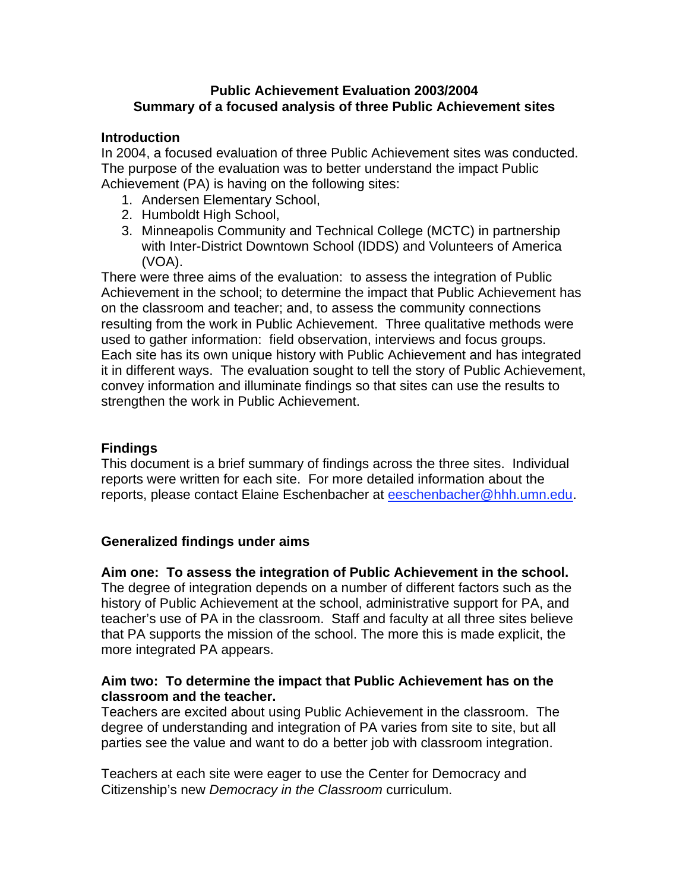# **Public Achievement Evaluation 2003/2004 Summary of a focused analysis of three Public Achievement sites**

## **Introduction**

In 2004, a focused evaluation of three Public Achievement sites was conducted. The purpose of the evaluation was to better understand the impact Public Achievement (PA) is having on the following sites:

- 1. Andersen Elementary School,
- 2. Humboldt High School,
- 3. Minneapolis Community and Technical College (MCTC) in partnership with Inter-District Downtown School (IDDS) and Volunteers of America (VOA).

There were three aims of the evaluation: to assess the integration of Public Achievement in the school; to determine the impact that Public Achievement has on the classroom and teacher; and, to assess the community connections resulting from the work in Public Achievement. Three qualitative methods were used to gather information: field observation, interviews and focus groups. Each site has its own unique history with Public Achievement and has integrated it in different ways. The evaluation sought to tell the story of Public Achievement, convey information and illuminate findings so that sites can use the results to strengthen the work in Public Achievement.

#### **Findings**

This document is a brief summary of findings across the three sites. Individual reports were written for each site. For more detailed information about the reports, please contact Elaine Eschenbacher at eeschenbacher@hhh.umn.edu.

## **Generalized findings under aims**

**Aim one: To assess the integration of Public Achievement in the school.**

The degree of integration depends on a number of different factors such as the history of Public Achievement at the school, administrative support for PA, and teacher's use of PA in the classroom. Staff and faculty at all three sites believe that PA supports the mission of the school. The more this is made explicit, the more integrated PA appears.

## **Aim two: To determine the impact that Public Achievement has on the classroom and the teacher.**

Teachers are excited about using Public Achievement in the classroom. The degree of understanding and integration of PA varies from site to site, but all parties see the value and want to do a better job with classroom integration.

Teachers at each site were eager to use the Center for Democracy and Citizenship's new *Democracy in the Classroom* curriculum.